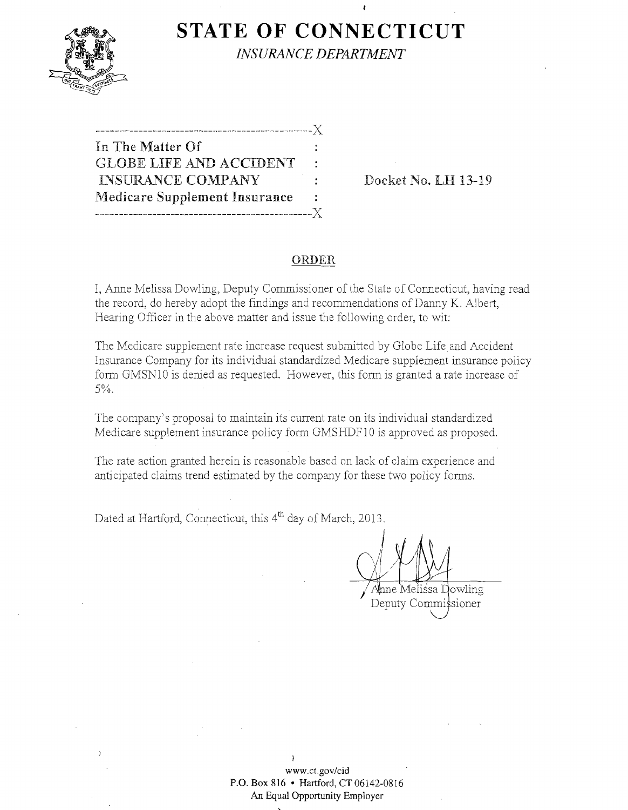

**STATE OF CONNECTICUT** 

*INSURANCE DEPARTMENT* 

| In The Matter Of                     |    |
|--------------------------------------|----|
| <b>GLOBE LIFE AND ACCIDENT</b>       | ÷  |
| <b>INSURANCE COMPANY</b>             | ٠. |
| <b>Medicare Supplement Insurance</b> | ÷  |
|                                      |    |

**Docket No. LH 13-19** 

## **ORDER**

I, Anne Melissa Dowling, Deputy Commissioner of the State of Connecticut, having read the record, do hereby adopt the findings and recommendations of Danny K. Albert, Hearing Officer in the above matter and issue the following order, to wit:

The Medicare supplement rate increase request submitted by Globe Life and Accident Insurance Company for its individual standardized Medicare supplement insurance policy form GMSNIO is denied as requested. However, this form is granted a rate increase of 5%.

The company's proposal to maintain its current rate on its individual standardized Medicare supplement insurance policy form GMSHDF10 is approved as proposed.

The rate action granted herein is reasonable based on lack of claim experience and anticipated claims trend estimated by the company for these two policy forms.

Dated at Hartford, Connecticut, this 4<sup>th</sup> day of March, 2013.

 $\int$   $\sqrt{4}$  $Q'$ Ahne Melissa Dowling

Deputy Commissioner

) **www.ct.gov/cid P.O. Box 816 • Hartford, CT06142-0816 An Equal Opportunity Employer**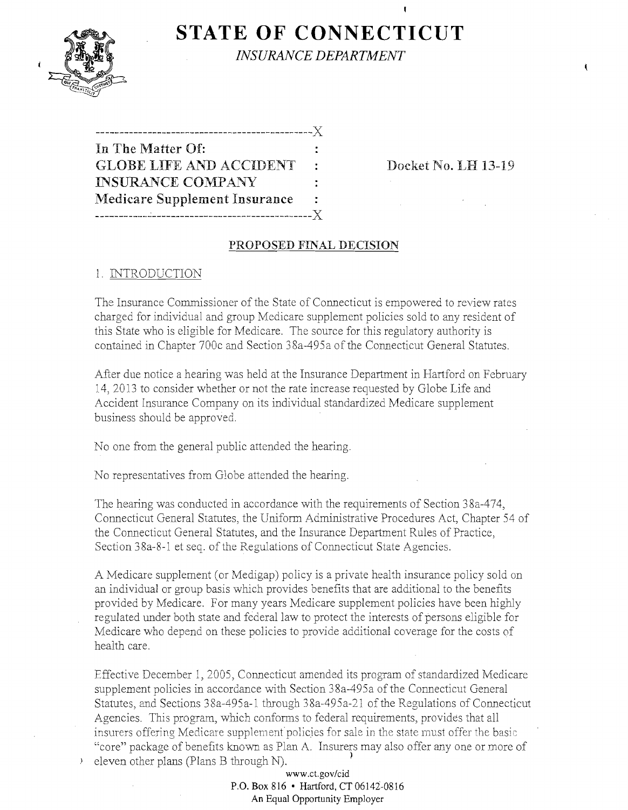

**STATE OF CONNECTICUT** 

*INSURANCE DEPARTMENT* 

| In The Matter Of:                    |       |
|--------------------------------------|-------|
| <b>GLOBE LIFE AND ACCIDENT</b>       | ÷     |
| <b>INSURANCE COMPANY</b>             | ٠.    |
| <b>Medicare Supplement Insurance</b> | ÷     |
| __________________________           | $- X$ |

**Docket No. LH 13-19** 

 $\mathbf{f}$ 

## **PROPOSED FINAL DECISION**

# 1. INTRODUCTION

The Insurance Commissioner of the State of Connecticut is empowered to review rates charged for individual and group Medicare supplement policies sold to any resident of this State who is eligible for Medicare. The source for this regulatory authority is contained in Chapter 700c and Section 38a-495a of the Connecticut General Statutes.

After due notice a hearing was held at the Insurance Department in Hartford on February 14,2013 to consider whether or not the rate increase requested by Globe Life and Accident Insurance Company on its individual standardized Medicare supplement business should be approved.

No one from the general public attended the hearing.

No representatives from Globe attended the hearing.

The hearing was conducted in accordance with the requirements of Section 38a-474, Connecticut General Statutes, the Uniform Administrative Procedures Act, Chapter 54 of the Connecticut General Statutes, and the Insurance Department Rules of Practice, Section 38a-8-1 et seq. of the Regulations of Connecticut State Agencies.

A Medicare supplement (or Medigap) policy is a private health insurance policy sold on an individual or group basis which provides benefits that are additional to the benefits provided by Medicare. For many years Medicare supplement policies have been highly regulated under both state and federal law to protect the interests of persons eligible for Medicare who depend on these policies to provide additional coverage for the costs of health care.

Effective December 1,2005, Connecticut amended its program of standardized Medicare supplement policies in accordance with Section 38a-495a of the Connecticut General Statutes, and Sections 38a-495a-l through 38a-495a-21 of the Regulations of Connecticut Agencies. This program, which confonns to federal requirements, provides that all insurers offering Medicare supplement policies for sale in the state must offer the basic "core" package of benefits known as Plan A. Insurers may also offer any one or more of ) eleven other plans (Plans B through **N).** )

> **www.ct.gov/cid P.O. Box 816 • Hartford, CT06142-0816 An Equal Opportunity Employer**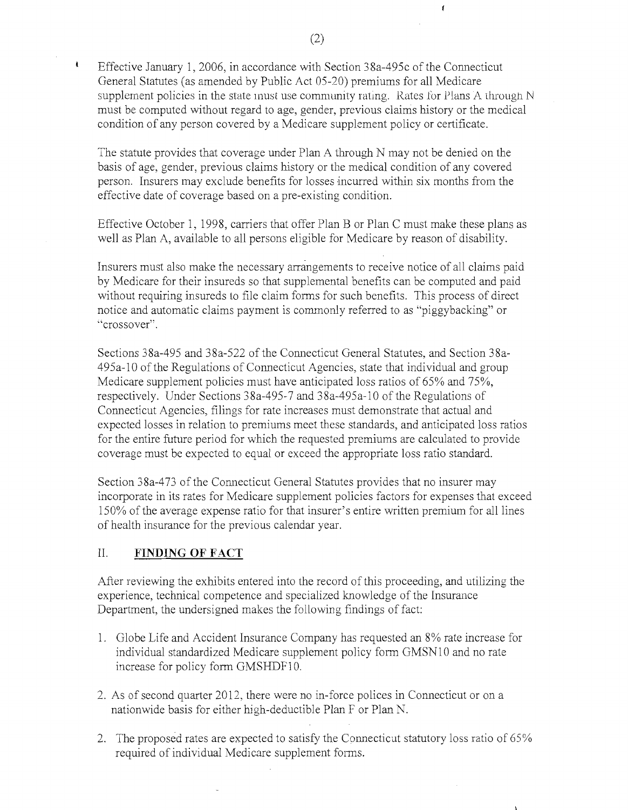Effective January 1, 2006, in accordance with Section 38a-495c of the Connecticut General Statutes (as amended by Public Act 05-20) premiums for all Medicare supplement policies in the state must use community rating. Rates for Plans A through  $N$ must be computed without regard to age, gender, previous claims history or the medical condition of any person covered by a Medicare supplement policy or certificate.

The statute provides that coverage under Plan A through N may not be denied on the basis of age, gender, previous claims history or the medical condition of any covered person. Insurers may exclude benefits for losses incurred within six months from the effective date of coverage based on a pre-existing condition.

Effective October 1,1998, carriers that offer Plan B or Plan C must make these plans as well as Plan A, available to all persons eligible for Medicare by reason of disability.

Insurers must also make the necessary amingements to receive notice of all claims paid by Medicare for their insureds so that supplemental benefits can be computed and paid without requiring insureds to file claim forms for such benefits. This process of direct notice and automatic claims payment is commonly referred to as "piggybacking" or "crossover".

Sections 38a-495 and 38a-522 of the Connecticut General Statutes, and Section 38a-495a-10 ofthe Regulations of Connecticut Agencies, state that individual and group Medicare supplement policies must have anticipated loss ratios of 65% and 75%, respectively. Under Sections 38a-495-7 and 38a-495a-10 of the Regulations of Connecticut Agencies, filings for rate increases must demonstrate that actual and expected losses in relation to premiums meet these standards, and anticipated loss ratios for the entire future period for which the requested premiums are calculated to provide coverage must be expected to equal or exceed the appropriate loss ratio standard.

Section 38a-473 of the Connecticut General Statutes provides that no insurer may incorporate in its rates for Medicare supplement policies factors for expenses that exceed 150% of the average expense ratio for that insurer's entire written premium for all lines of health insurance for the previous calendar year.

### II. **FINDING OF FACT**

 $\mathbf{I}$ 

After reviewing the exhibits entered into the record of this proceeding, and utilizing the experience, technical competence and specialized knowledge of the Insurance Department, the undersigned makes the following findings of fact:

- 1. Globe Life and Accident Insurance Company has requested an 8% rate increase for individual standardized Medicare supplement policy form GMSN10 and no rate increase for policy form GMSHDF10.
- 2. As of second quarter 2012, there were no in-force polices in Connecticut or on a nationwide basis for either high-deductible Plan F or Plan N.
- 2. The proposed rates are expected to satisfy the Connecticut statutory loss ratio of 65% required of individual Medicare supplement forms.

 $\epsilon$